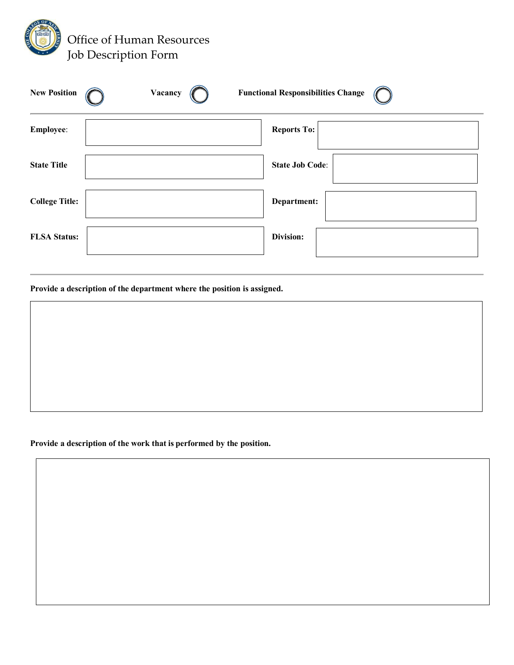

| <b>New Position</b>   | Vacancy<br><b>Functional Responsibilities Change</b> |
|-----------------------|------------------------------------------------------|
| <b>Employee:</b>      | <b>Reports To:</b>                                   |
| <b>State Title</b>    | <b>State Job Code:</b>                               |
| <b>College Title:</b> | Department:                                          |
| <b>FLSA Status:</b>   | Division:                                            |

**Provide a description of the department where the position is assigned.**

**Provide a description of the work that is performed by the position.**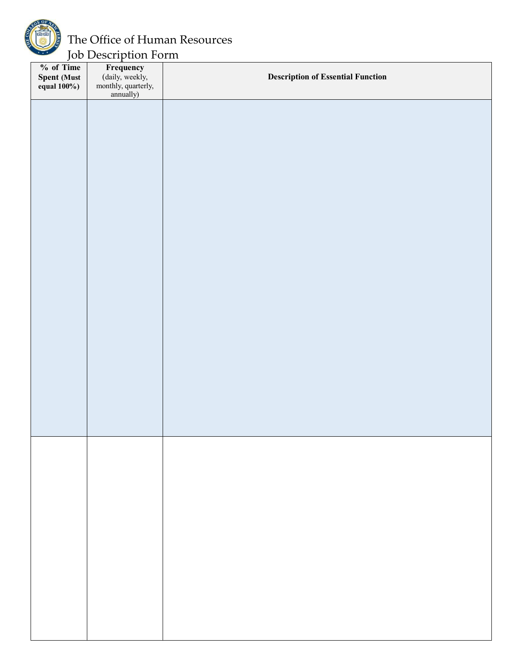

# The Office of Human Resources

### Job Description Form

| % of Time<br>Spent (Must<br>equal 100%) | Frequency<br>(daily, weekly,<br>monthly, quarterly,<br>annually) | <b>Description of Essential Function</b> |
|-----------------------------------------|------------------------------------------------------------------|------------------------------------------|
|                                         |                                                                  |                                          |
|                                         |                                                                  |                                          |
|                                         |                                                                  |                                          |
|                                         |                                                                  |                                          |
|                                         |                                                                  |                                          |
|                                         |                                                                  |                                          |
|                                         |                                                                  |                                          |
|                                         |                                                                  |                                          |
|                                         |                                                                  |                                          |
|                                         |                                                                  |                                          |
|                                         |                                                                  |                                          |
|                                         |                                                                  |                                          |
|                                         |                                                                  |                                          |
|                                         |                                                                  |                                          |
|                                         |                                                                  |                                          |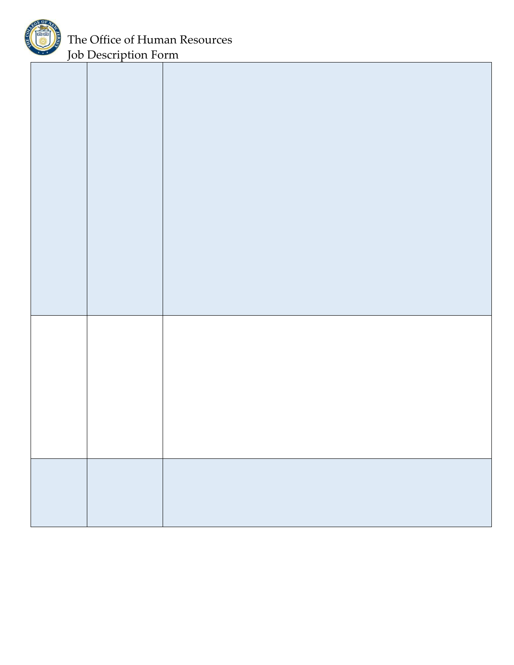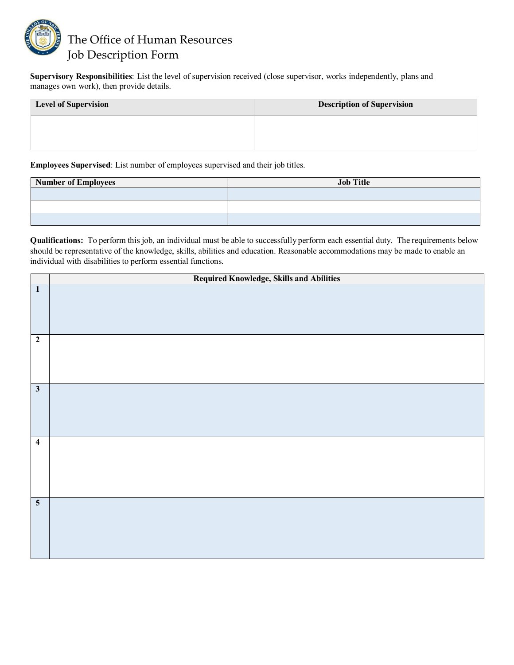

**Supervisory Responsibilities**: List the level of supervision received (close supervisor, works independently, plans and manages own work), then provide details.

| <b>Level of Supervision</b> | <b>Description of Supervision</b> |
|-----------------------------|-----------------------------------|
|                             |                                   |
|                             |                                   |

**Employees Supervised**: List number of employees supervised and their job titles.

| Number of Employees | <b>Job Title</b> |
|---------------------|------------------|
|                     |                  |
|                     |                  |
|                     |                  |

**Qualifications:** To perform this job, an individual must be able to successfully perform each essential duty. The requirements below should be representative of the knowledge, skills, abilities and education. Reasonable accommodations may be made to enable an individual with disabilities to perform essential functions.

|                         | <b>Required Knowledge, Skills and Abilities</b> |
|-------------------------|-------------------------------------------------|
| $\sqrt{1}$              |                                                 |
| $\overline{2}$          |                                                 |
| $\overline{\mathbf{3}}$ |                                                 |
| $\overline{4}$          |                                                 |
| $\overline{\mathbf{5}}$ |                                                 |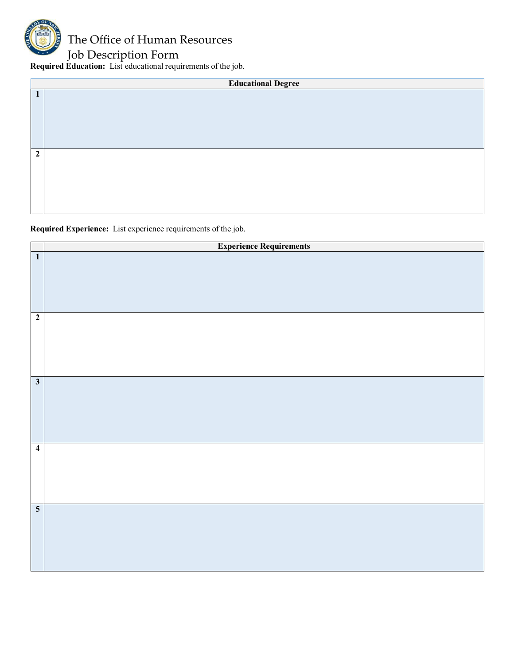

# The Office of Human Resources

## Job Description Form

**Required Education:** List educational requirements of the job.

#### **Educational Degree**

| - 1            |  |
|----------------|--|
|                |  |
|                |  |
|                |  |
|                |  |
|                |  |
|                |  |
|                |  |
|                |  |
|                |  |
|                |  |
|                |  |
|                |  |
|                |  |
|                |  |
|                |  |
|                |  |
|                |  |
|                |  |
|                |  |
|                |  |
|                |  |
|                |  |
|                |  |
|                |  |
|                |  |
|                |  |
|                |  |
|                |  |
|                |  |
|                |  |
|                |  |
|                |  |
|                |  |
|                |  |
|                |  |
|                |  |
|                |  |
|                |  |
|                |  |
|                |  |
|                |  |
| $\overline{2}$ |  |
|                |  |
|                |  |
|                |  |
|                |  |
|                |  |
|                |  |
|                |  |
|                |  |
|                |  |
|                |  |
|                |  |
|                |  |
|                |  |
|                |  |
|                |  |
|                |  |
|                |  |
|                |  |
|                |  |
|                |  |
|                |  |
|                |  |
|                |  |
|                |  |
|                |  |
|                |  |
|                |  |
|                |  |
|                |  |
|                |  |
|                |  |
|                |  |
|                |  |
|                |  |
|                |  |
|                |  |
|                |  |
|                |  |
|                |  |
|                |  |
|                |  |
|                |  |
|                |  |
|                |  |
|                |  |

#### **Required Experience:** List experience requirements of the job.

|                         | <b>Experience Requirements</b> |
|-------------------------|--------------------------------|
| $\overline{1}$          |                                |
| $\overline{2}$          |                                |
| $\overline{\mathbf{3}}$ |                                |
| $\overline{4}$          |                                |
| $\overline{\mathbf{5}}$ |                                |